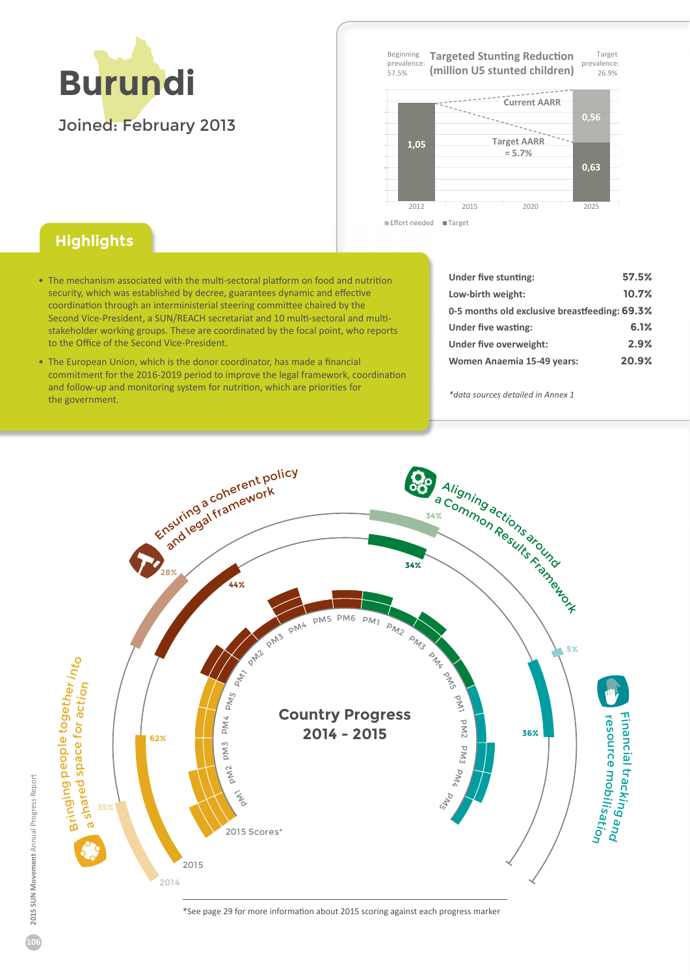

**Target** prevalence 26 . 9 % Beginning prevalence  $57.5%$ **Targeted Stunting Reduction (million U5 stunted children)**



## Effort needed **■ Targe**

## **Highlights**

- The mechanism associated with the multi-sectoral platform on food and nutrition security, which was established by decree, guarantees dynamic and effective coordination through an interministerial steering committee chaired by the Second Vice-President, a SUN/REACH secretariat and 10 multi-sectoral and multistakeholder working groups. These are coordinated by the focal point, who reports to the Office of the Second Vice-President.
- The European Union, which is the donor coordinator, has made a financial commitment for the 2016-2019 period to improve the legal framework, coordination and follow-up and monitoring system for nutrition, which are priorities for the government.

| Under five stunting:                          | 57.5% |
|-----------------------------------------------|-------|
| Low-birth weight:                             | 10.7% |
| 0-5 months old exclusive breastfeeding: 69.3% |       |
| Under five wasting:                           | 6.1%  |
| Under five overweight:                        | 2.9%  |
| Women Anaemia 15-49 years:                    | 20.9% |

*\*data sources detailed in Annex 1*



ΎSee page 2ϵ for more information about 2015 scoring against each progress marker